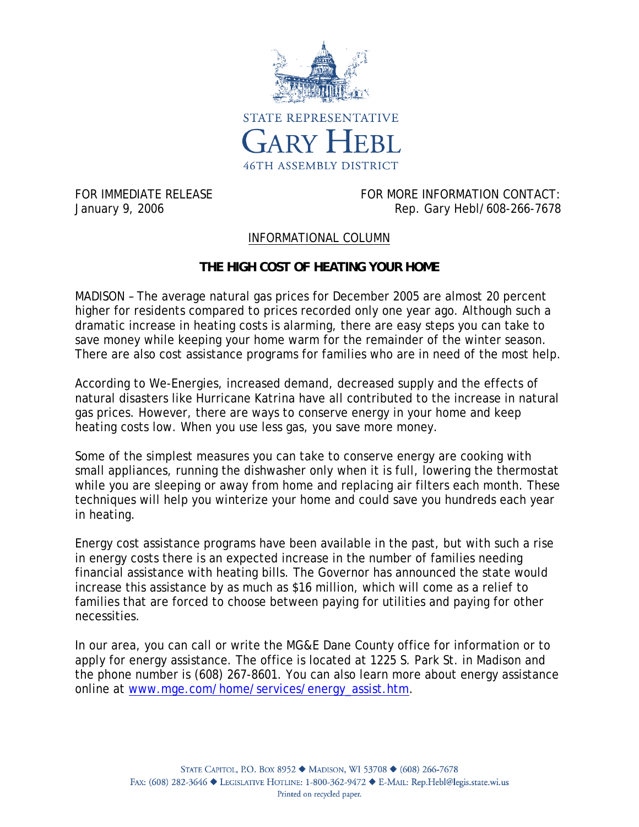

FOR IMMEDIATE RELEASE FOR MORE INFORMATION CONTACT: January 9, 2006 **Rep. 64 and 2018** Rep. Gary Hebl/608-266-7678

## INFORMATIONAL COLUMN

## **THE HIGH COST OF HEATING YOUR HOME**

MADISON – The average natural gas prices for December 2005 are almost 20 percent higher for residents compared to prices recorded only one year ago. Although such a dramatic increase in heating costs is alarming, there are easy steps you can take to save money while keeping your home warm for the remainder of the winter season. There are also cost assistance programs for families who are in need of the most help.

According to We-Energies, increased demand, decreased supply and the effects of natural disasters like Hurricane Katrina have all contributed to the increase in natural gas prices. However, there are ways to conserve energy in your home and keep heating costs low. When you use less gas, you save more money.

Some of the simplest measures you can take to conserve energy are cooking with small appliances, running the dishwasher only when it is full, lowering the thermostat while you are sleeping or away from home and replacing air filters each month. These techniques will help you winterize your home and could save you hundreds each year in heating.

Energy cost assistance programs have been available in the past, but with such a rise in energy costs there is an expected increase in the number of families needing financial assistance with heating bills. The Governor has announced the state would increase this assistance by as much as \$16 million, which will come as a relief to families that are forced to choose between paying for utilities and paying for other necessities.

In our area, you can call or write the MG&E Dane County office for information or to apply for energy assistance. The office is located at 1225 S. Park St. in Madison and the phone number is (608) 267-8601. You can also learn more about energy assistance online at www.mge.com/home/services/energy\_assist.htm.